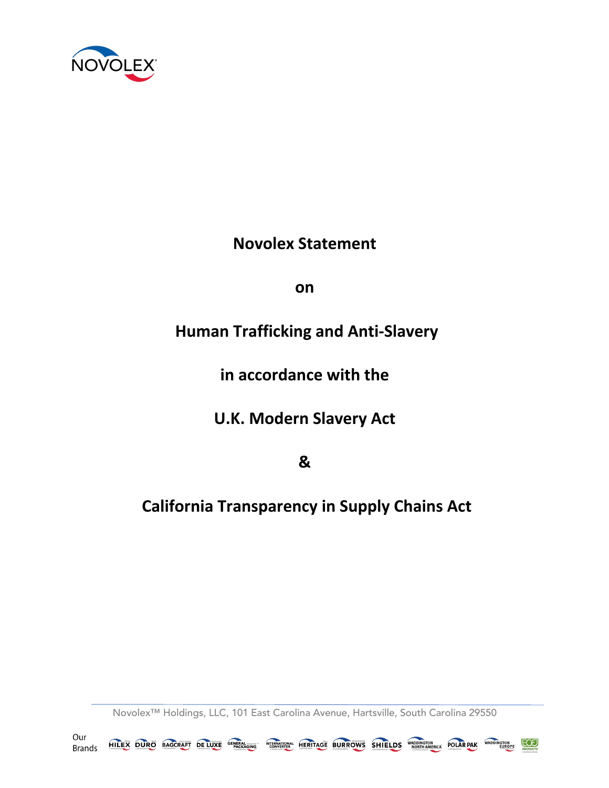

**Novolex Statement** 

**on**

## **Human Trafficking and Anti-Slavery**

**in accordance with the** 

**U.K. Modern Slavery Act** 

**&**

## **California Transparency in Supply Chains Act**

Novolex™ Holdings, LLC, 101 East Carolina Avenue, Hartsville, South Carolina 29550

Our HILEX DURO BAGCRAFT DELUXE <sup>GENERA</sup>SING <sup>INTERNATIONAL</sup> HERITAGE BURROWS SHIELDS WADDINGTON POLARPAK WADDINGTON <u>ලත</u> **Brands**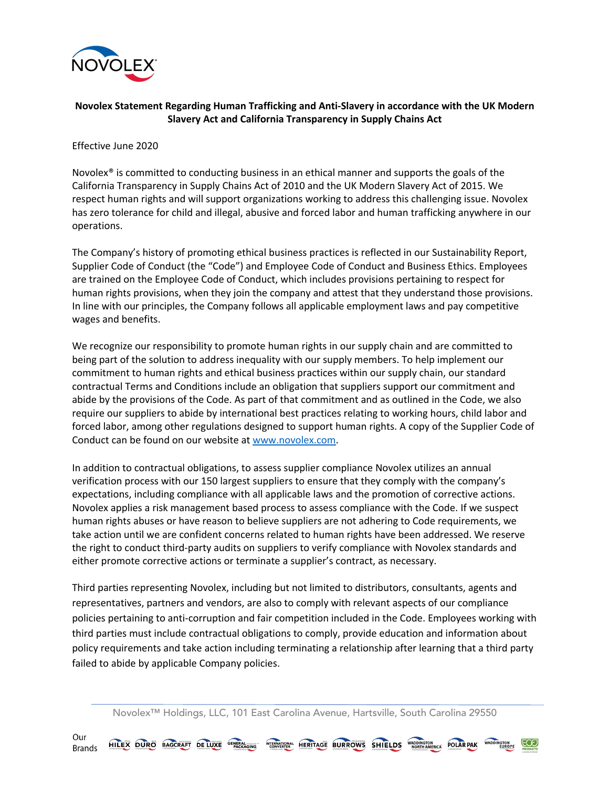

## **Novolex Statement Regarding Human Trafficking and Anti-Slavery in accordance with the UK Modern Slavery Act and California Transparency in Supply Chains Act**

Effective June 2020

Novolex<sup>®</sup> is committed to conducting business in an ethical manner and supports the goals of the California Transparency in Supply Chains Act of 2010 and the UK Modern Slavery Act of 2015. We respect human rights and will support organizations working to address this challenging issue. Novolex has zero tolerance for child and illegal, abusive and forced labor and human trafficking anywhere in our operations.

The Company's history of promoting ethical business practices is reflected in our Sustainability Report, Supplier Code of Conduct (the "Code") and Employee Code of Conduct and Business Ethics. Employees are trained on the Employee Code of Conduct, which includes provisions pertaining to respect for human rights provisions, when they join the company and attest that they understand those provisions. In line with our principles, the Company follows all applicable employment laws and pay competitive wages and benefits.

We recognize our responsibility to promote human rights in our supply chain and are committed to being part of the solution to address inequality with our supply members. To help implement our commitment to human rights and ethical business practices within our supply chain, our standard contractual Terms and Conditions include an obligation that suppliers support our commitment and abide by the provisions of the Code. As part of that commitment and as outlined in the Code, we also require our suppliers to abide by international best practices relating to working hours, child labor and forced labor, among other regulations designed to support human rights. A copy of the Supplier Code of Conduct can be found on our website at www.novolex.com.

In addition to contractual obligations, to assess supplier compliance Novolex utilizes an annual verification process with our 150 largest suppliers to ensure that they comply with the company's expectations, including compliance with all applicable laws and the promotion of corrective actions. Novolex applies a risk management based process to assess compliance with the Code. If we suspect human rights abuses or have reason to believe suppliers are not adhering to Code requirements, we take action until we are confident concerns related to human rights have been addressed. We reserve the right to conduct third-party audits on suppliers to verify compliance with Novolex standards and either promote corrective actions or terminate a supplier's contract, as necessary.

Third parties representing Novolex, including but not limited to distributors, consultants, agents and representatives, partners and vendors, are also to comply with relevant aspects of our compliance policies pertaining to anti-corruption and fair competition included in the Code. Employees working with third parties must include contractual obligations to comply, provide education and information about policy requirements and take action including terminating a relationship after learning that a third party failed to abide by applicable Company policies.

Novolex™ Holdings, LLC, 101 East Carolina Avenue, Hartsville, South Carolina 29550